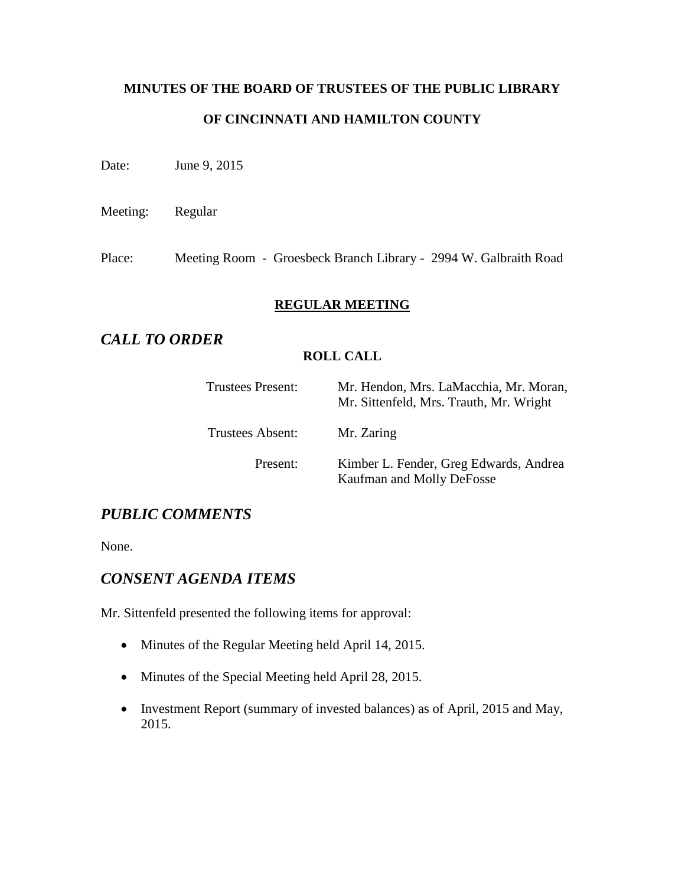# **MINUTES OF THE BOARD OF TRUSTEES OF THE PUBLIC LIBRARY OF CINCINNATI AND HAMILTON COUNTY**

Date: June 9, 2015

Meeting: Regular

Place: Meeting Room - Groesbeck Branch Library - 2994 W. Galbraith Road

## **REGULAR MEETING**

# *CALL TO ORDER*

## **ROLL CALL**

| <b>Trustees Present:</b> | Mr. Hendon, Mrs. LaMacchia, Mr. Moran,<br>Mr. Sittenfeld, Mrs. Trauth, Mr. Wright |
|--------------------------|-----------------------------------------------------------------------------------|
| Trustees Absent:         | Mr. Zaring                                                                        |
| Present:                 | Kimber L. Fender, Greg Edwards, Andrea<br>Kaufman and Molly DeFosse               |

# *PUBLIC COMMENTS*

None.

## *CONSENT AGENDA ITEMS*

Mr. Sittenfeld presented the following items for approval:

- Minutes of the Regular Meeting held April 14, 2015.
- Minutes of the Special Meeting held April 28, 2015.
- Investment Report (summary of invested balances) as of April, 2015 and May, 2015.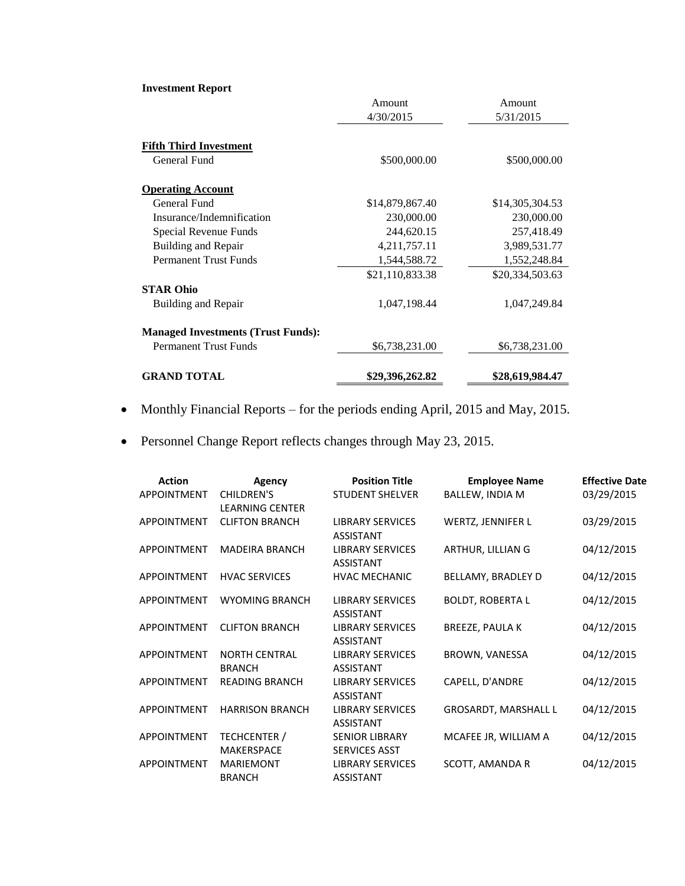#### **Investment Report**

|                                           | Amount          | Amount          |
|-------------------------------------------|-----------------|-----------------|
|                                           | 4/30/2015       | 5/31/2015       |
| <b>Fifth Third Investment</b>             |                 |                 |
| General Fund                              | \$500,000.00    | \$500,000.00    |
| <b>Operating Account</b>                  |                 |                 |
| General Fund                              | \$14,879,867.40 | \$14,305,304.53 |
| Insurance/Indemnification                 | 230,000.00      | 230,000.00      |
| Special Revenue Funds                     | 244,620.15      | 257,418.49      |
| Building and Repair                       | 4, 211, 757. 11 | 3,989,531.77    |
| <b>Permanent Trust Funds</b>              | 1,544,588.72    | 1,552,248.84    |
|                                           | \$21,110,833.38 | \$20,334,503.63 |
| <b>STAR Ohio</b>                          |                 |                 |
| <b>Building and Repair</b>                | 1,047,198.44    | 1,047,249.84    |
| <b>Managed Investments (Trust Funds):</b> |                 |                 |
| <b>Permanent Trust Funds</b>              | \$6,738,231.00  | \$6,738,231.00  |
| <b>GRAND TOTAL</b>                        | \$29,396,262.82 | \$28,619,984.47 |

- Monthly Financial Reports for the periods ending April, 2015 and May, 2015.
- Personnel Change Report reflects changes through May 23, 2015.

| <b>Action</b>      | <b>Agency</b>                               | <b>Position Title</b>                         | <b>Employee Name</b>     | <b>Effective Date</b> |
|--------------------|---------------------------------------------|-----------------------------------------------|--------------------------|-----------------------|
| <b>APPOINTMENT</b> | <b>CHILDREN'S</b><br><b>LEARNING CENTER</b> | <b>STUDENT SHELVER</b>                        | <b>BALLEW, INDIA M</b>   | 03/29/2015            |
| <b>APPOINTMENT</b> | <b>CLIFTON BRANCH</b>                       | <b>LIBRARY SERVICES</b><br><b>ASSISTANT</b>   | <b>WERTZ, JENNIFER L</b> | 03/29/2015            |
| <b>APPOINTMENT</b> | <b>MADEIRA BRANCH</b>                       | <b>LIBRARY SERVICES</b><br><b>ASSISTANT</b>   | ARTHUR, LILLIAN G        | 04/12/2015            |
| <b>APPOINTMENT</b> | <b>HVAC SERVICES</b>                        | <b>HVAC MECHANIC</b>                          | BELLAMY, BRADLEY D       | 04/12/2015            |
| <b>APPOINTMENT</b> | <b>WYOMING BRANCH</b>                       | <b>LIBRARY SERVICES</b><br><b>ASSISTANT</b>   | <b>BOLDT, ROBERTA L</b>  | 04/12/2015            |
| <b>APPOINTMENT</b> | <b>CLIFTON BRANCH</b>                       | <b>LIBRARY SERVICES</b><br><b>ASSISTANT</b>   | <b>BREEZE, PAULA K</b>   | 04/12/2015            |
| <b>APPOINTMENT</b> | <b>NORTH CENTRAL</b><br><b>BRANCH</b>       | <b>LIBRARY SERVICES</b><br><b>ASSISTANT</b>   | BROWN, VANESSA           | 04/12/2015            |
| <b>APPOINTMENT</b> | <b>READING BRANCH</b>                       | <b>LIBRARY SERVICES</b><br><b>ASSISTANT</b>   | CAPELL, D'ANDRE          | 04/12/2015            |
| <b>APPOINTMENT</b> | <b>HARRISON BRANCH</b>                      | <b>LIBRARY SERVICES</b><br><b>ASSISTANT</b>   | GROSARDT, MARSHALL L     | 04/12/2015            |
| <b>APPOINTMENT</b> | TECHCENTER /<br><b>MAKERSPACE</b>           | <b>SENIOR LIBRARY</b><br><b>SERVICES ASST</b> | MCAFEE JR, WILLIAM A     | 04/12/2015            |
| <b>APPOINTMENT</b> | <b>MARIEMONT</b><br><b>BRANCH</b>           | <b>LIBRARY SERVICES</b><br><b>ASSISTANT</b>   | <b>SCOTT, AMANDA R</b>   | 04/12/2015            |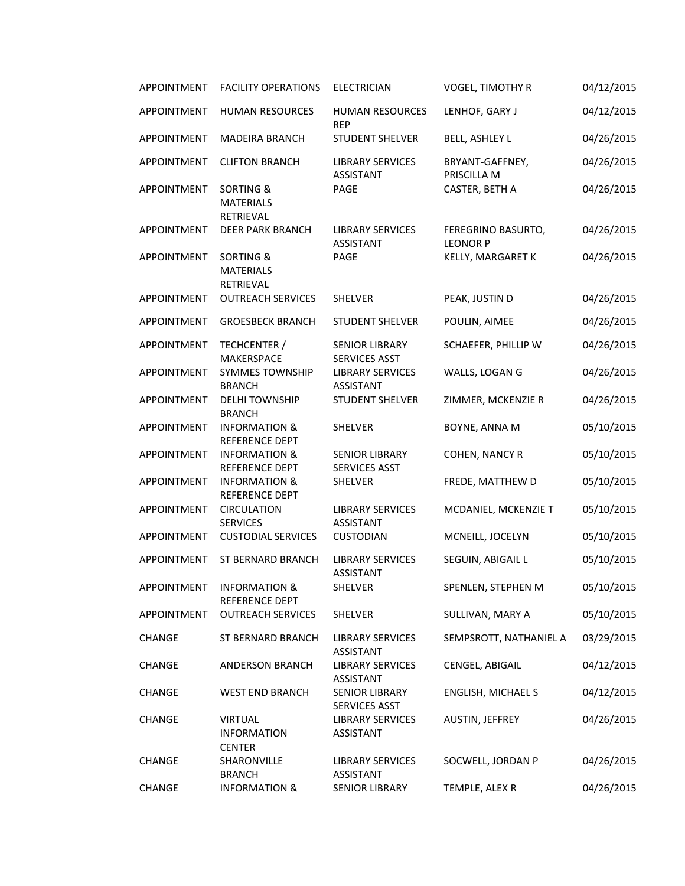| <b>APPOINTMENT</b> | <b>FACILITY OPERATIONS</b>                                   | <b>ELECTRICIAN</b>                            | VOGEL, TIMOTHY R                      | 04/12/2015 |
|--------------------|--------------------------------------------------------------|-----------------------------------------------|---------------------------------------|------------|
| APPOINTMENT        | <b>HUMAN RESOURCES</b>                                       | <b>HUMAN RESOURCES</b><br><b>REP</b>          | LENHOF, GARY J                        | 04/12/2015 |
| APPOINTMENT        | <b>MADEIRA BRANCH</b>                                        | <b>STUDENT SHELVER</b>                        | <b>BELL, ASHLEY L</b>                 | 04/26/2015 |
| APPOINTMENT        | <b>CLIFTON BRANCH</b>                                        | <b>LIBRARY SERVICES</b><br><b>ASSISTANT</b>   | BRYANT-GAFFNEY,<br>PRISCILLA M        | 04/26/2015 |
| APPOINTMENT        | <b>SORTING &amp;</b><br><b>MATERIALS</b><br><b>RETRIEVAL</b> | PAGE                                          | CASTER, BETH A                        | 04/26/2015 |
| APPOINTMENT        | <b>DEER PARK BRANCH</b>                                      | <b>LIBRARY SERVICES</b><br><b>ASSISTANT</b>   | FEREGRINO BASURTO,<br><b>LEONOR P</b> | 04/26/2015 |
| APPOINTMENT        | <b>SORTING &amp;</b><br><b>MATERIALS</b><br><b>RETRIEVAL</b> | PAGE                                          | KELLY, MARGARET K                     | 04/26/2015 |
| APPOINTMENT        | <b>OUTREACH SERVICES</b>                                     | <b>SHELVER</b>                                | PEAK, JUSTIN D                        | 04/26/2015 |
| APPOINTMENT        | <b>GROESBECK BRANCH</b>                                      | <b>STUDENT SHELVER</b>                        | POULIN, AIMEE                         | 04/26/2015 |
| APPOINTMENT        | TECHCENTER /<br><b>MAKERSPACE</b>                            | <b>SENIOR LIBRARY</b><br><b>SERVICES ASST</b> | SCHAEFER, PHILLIP W                   | 04/26/2015 |
| APPOINTMENT        | <b>SYMMES TOWNSHIP</b><br><b>BRANCH</b>                      | <b>LIBRARY SERVICES</b><br><b>ASSISTANT</b>   | WALLS, LOGAN G                        | 04/26/2015 |
| APPOINTMENT        | <b>DELHI TOWNSHIP</b><br><b>BRANCH</b>                       | <b>STUDENT SHELVER</b>                        | ZIMMER, MCKENZIE R                    | 04/26/2015 |
| APPOINTMENT        | <b>INFORMATION &amp;</b><br>REFERENCE DEPT                   | <b>SHELVER</b>                                | BOYNE, ANNA M                         | 05/10/2015 |
| APPOINTMENT        | <b>INFORMATION &amp;</b><br>REFERENCE DEPT                   | <b>SENIOR LIBRARY</b><br>SERVICES ASST        | COHEN, NANCY R                        | 05/10/2015 |
| APPOINTMENT        | <b>INFORMATION &amp;</b><br>REFERENCE DEPT                   | SHELVER                                       | FREDE, MATTHEW D                      | 05/10/2015 |
| APPOINTMENT        | <b>CIRCULATION</b><br><b>SERVICES</b>                        | <b>LIBRARY SERVICES</b><br><b>ASSISTANT</b>   | MCDANIEL, MCKENZIE T                  | 05/10/2015 |
| APPOINTMENT        | <b>CUSTODIAL SERVICES</b>                                    | <b>CUSTODIAN</b>                              | MCNEILL, JOCELYN                      | 05/10/2015 |
| APPOINTMENT        | <b>ST BERNARD BRANCH</b>                                     | <b>LIBRARY SERVICES</b><br><b>ASSISTANT</b>   | SEGUIN, ABIGAIL L                     | 05/10/2015 |
| <b>APPOINTMENT</b> | <b>INFORMATION &amp;</b><br>REFERENCE DEPT                   | SHELVER                                       | SPENLEN, STEPHEN M                    | 05/10/2015 |
| <b>APPOINTMENT</b> | <b>OUTREACH SERVICES</b>                                     | <b>SHELVER</b>                                | SULLIVAN, MARY A                      | 05/10/2015 |
| <b>CHANGE</b>      | ST BERNARD BRANCH                                            | <b>LIBRARY SERVICES</b><br><b>ASSISTANT</b>   | SEMPSROTT, NATHANIEL A                | 03/29/2015 |
| CHANGE             | <b>ANDERSON BRANCH</b>                                       | <b>LIBRARY SERVICES</b><br><b>ASSISTANT</b>   | CENGEL, ABIGAIL                       | 04/12/2015 |
| CHANGE             | <b>WEST END BRANCH</b>                                       | <b>SENIOR LIBRARY</b><br>SERVICES ASST        | ENGLISH, MICHAEL S                    | 04/12/2015 |
| CHANGE             | <b>VIRTUAL</b><br><b>INFORMATION</b><br><b>CENTER</b>        | <b>LIBRARY SERVICES</b><br>ASSISTANT          | AUSTIN, JEFFREY                       | 04/26/2015 |
| <b>CHANGE</b>      | SHARONVILLE<br><b>BRANCH</b>                                 | <b>LIBRARY SERVICES</b><br><b>ASSISTANT</b>   | SOCWELL, JORDAN P                     | 04/26/2015 |
| CHANGE             | <b>INFORMATION &amp;</b>                                     | <b>SENIOR LIBRARY</b>                         | TEMPLE, ALEX R                        | 04/26/2015 |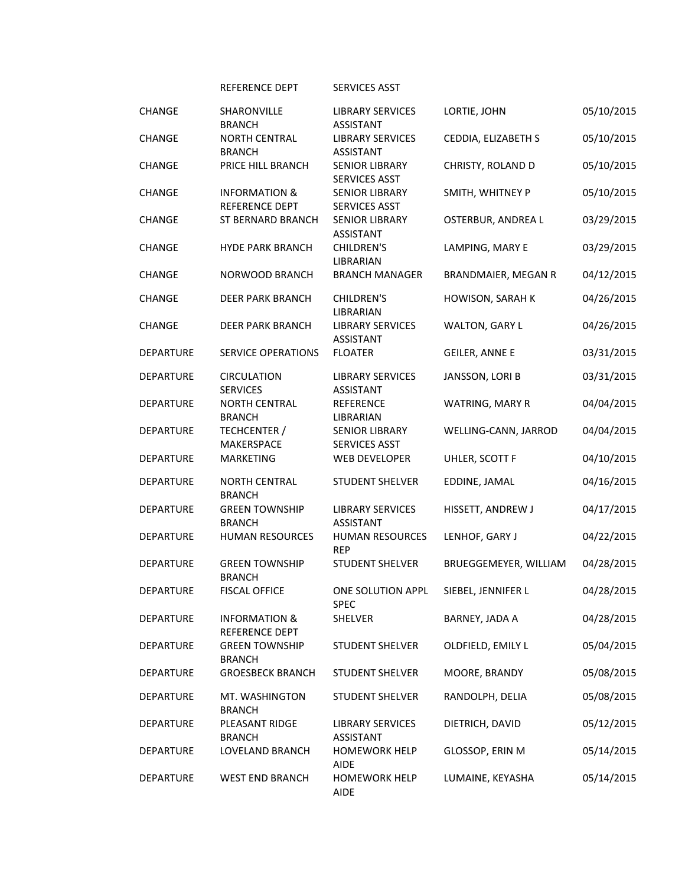REFERENCE DEPT SERVICES ASST

| <b>CHANGE</b>    | SHARONVILLE<br><b>BRANCH</b>               | <b>LIBRARY SERVICES</b><br><b>ASSISTANT</b>   | LORTIE, JOHN          | 05/10/2015 |
|------------------|--------------------------------------------|-----------------------------------------------|-----------------------|------------|
| <b>CHANGE</b>    | <b>NORTH CENTRAL</b><br><b>BRANCH</b>      | <b>LIBRARY SERVICES</b><br><b>ASSISTANT</b>   | CEDDIA, ELIZABETH S   | 05/10/2015 |
| <b>CHANGE</b>    | PRICE HILL BRANCH                          | <b>SENIOR LIBRARY</b><br><b>SERVICES ASST</b> | CHRISTY, ROLAND D     | 05/10/2015 |
| <b>CHANGE</b>    | <b>INFORMATION &amp;</b><br>REFERENCE DEPT | <b>SENIOR LIBRARY</b><br><b>SERVICES ASST</b> | SMITH, WHITNEY P      | 05/10/2015 |
| <b>CHANGE</b>    | ST BERNARD BRANCH                          | <b>SENIOR LIBRARY</b><br><b>ASSISTANT</b>     | OSTERBUR, ANDREA L    | 03/29/2015 |
| <b>CHANGE</b>    | <b>HYDE PARK BRANCH</b>                    | <b>CHILDREN'S</b><br>LIBRARIAN                | LAMPING, MARY E       | 03/29/2015 |
| <b>CHANGE</b>    | NORWOOD BRANCH                             | <b>BRANCH MANAGER</b>                         | BRANDMAIER, MEGAN R   | 04/12/2015 |
| <b>CHANGE</b>    | <b>DEER PARK BRANCH</b>                    | CHILDREN'S<br>LIBRARIAN                       | HOWISON, SARAH K      | 04/26/2015 |
| <b>CHANGE</b>    | <b>DEER PARK BRANCH</b>                    | <b>LIBRARY SERVICES</b><br><b>ASSISTANT</b>   | WALTON, GARY L        | 04/26/2015 |
| <b>DEPARTURE</b> | <b>SERVICE OPERATIONS</b>                  | <b>FLOATER</b>                                | <b>GEILER, ANNE E</b> | 03/31/2015 |
| <b>DEPARTURE</b> | <b>CIRCULATION</b><br><b>SERVICES</b>      | <b>LIBRARY SERVICES</b><br><b>ASSISTANT</b>   | JANSSON, LORI B       | 03/31/2015 |
| <b>DEPARTURE</b> | <b>NORTH CENTRAL</b><br><b>BRANCH</b>      | <b>REFERENCE</b><br>LIBRARIAN                 | WATRING, MARY R       | 04/04/2015 |
| <b>DEPARTURE</b> | TECHCENTER /<br>MAKERSPACE                 | <b>SENIOR LIBRARY</b><br><b>SERVICES ASST</b> | WELLING-CANN, JARROD  | 04/04/2015 |
| <b>DEPARTURE</b> | <b>MARKETING</b>                           | <b>WEB DEVELOPER</b>                          | UHLER, SCOTT F        | 04/10/2015 |
| <b>DEPARTURE</b> | <b>NORTH CENTRAL</b><br><b>BRANCH</b>      | <b>STUDENT SHELVER</b>                        | EDDINE, JAMAL         | 04/16/2015 |
| DEPARTURE        | <b>GREEN TOWNSHIP</b><br><b>BRANCH</b>     | <b>LIBRARY SERVICES</b><br><b>ASSISTANT</b>   | HISSETT, ANDREW J     | 04/17/2015 |
| <b>DEPARTURE</b> | <b>HUMAN RESOURCES</b>                     | <b>HUMAN RESOURCES</b><br><b>REP</b>          | LENHOF, GARY J        | 04/22/2015 |
| <b>DEPARTURE</b> | <b>GREEN TOWNSHIP</b><br><b>BRANCH</b>     | <b>STUDENT SHELVER</b>                        | BRUEGGEMEYER, WILLIAM | 04/28/2015 |
| <b>DEPARTURE</b> | <b>FISCAL OFFICE</b>                       | ONE SOLUTION APPL<br>SPEC                     | SIEBEL, JENNIFER L    | 04/28/2015 |
| <b>DEPARTURE</b> | INFORMATION &<br><b>REFERENCE DEPT</b>     | <b>SHELVER</b>                                | BARNEY, JADA A        | 04/28/2015 |
| <b>DEPARTURE</b> | <b>GREEN TOWNSHIP</b><br><b>BRANCH</b>     | <b>STUDENT SHELVER</b>                        | OLDFIELD, EMILY L     | 05/04/2015 |
| <b>DEPARTURE</b> | <b>GROESBECK BRANCH</b>                    | <b>STUDENT SHELVER</b>                        | MOORE, BRANDY         | 05/08/2015 |
| DEPARTURE        | MT. WASHINGTON<br><b>BRANCH</b>            | <b>STUDENT SHELVER</b>                        | RANDOLPH, DELIA       | 05/08/2015 |
| <b>DEPARTURE</b> | PLEASANT RIDGE<br><b>BRANCH</b>            | <b>LIBRARY SERVICES</b><br><b>ASSISTANT</b>   | DIETRICH, DAVID       | 05/12/2015 |
| <b>DEPARTURE</b> | LOVELAND BRANCH                            | <b>HOMEWORK HELP</b><br><b>AIDE</b>           | GLOSSOP, ERIN M       | 05/14/2015 |
| DEPARTURE        | <b>WEST END BRANCH</b>                     | <b>HOMEWORK HELP</b><br><b>AIDE</b>           | LUMAINE, KEYASHA      | 05/14/2015 |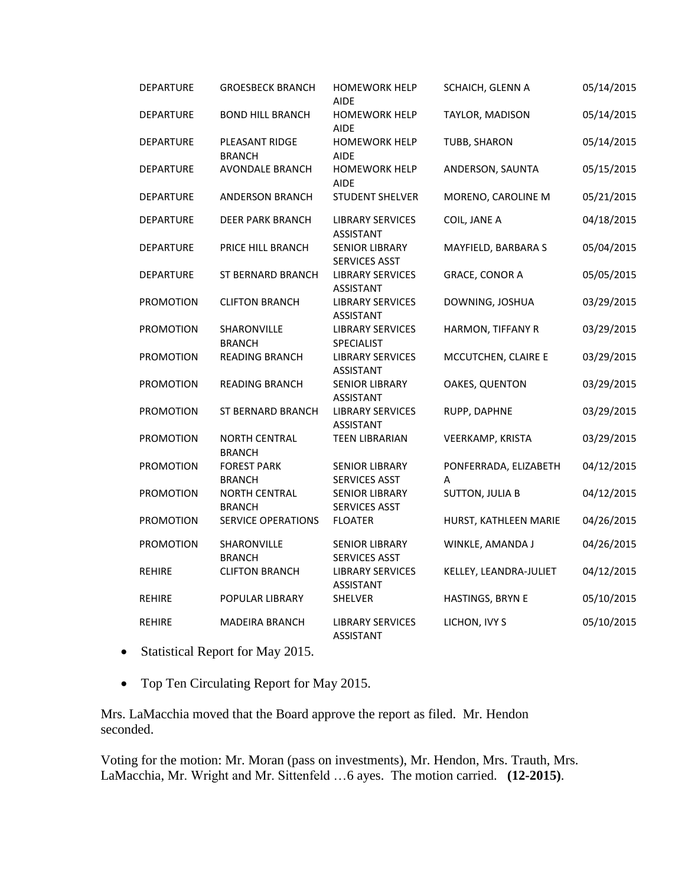| <b>DEPARTURE</b> | <b>GROESBECK BRANCH</b>               | <b>HOMEWORK HELP</b><br><b>AIDE</b>           | SCHAICH, GLENN A           | 05/14/2015 |
|------------------|---------------------------------------|-----------------------------------------------|----------------------------|------------|
| <b>DEPARTURE</b> | <b>BOND HILL BRANCH</b>               | <b>HOMEWORK HELP</b><br><b>AIDE</b>           | TAYLOR, MADISON            | 05/14/2015 |
| <b>DEPARTURE</b> | PLEASANT RIDGE<br><b>BRANCH</b>       | <b>HOMEWORK HELP</b><br><b>AIDE</b>           | TUBB, SHARON               | 05/14/2015 |
| <b>DEPARTURE</b> | <b>AVONDALE BRANCH</b>                | <b>HOMEWORK HELP</b><br><b>AIDE</b>           | ANDERSON, SAUNTA           | 05/15/2015 |
| DEPARTURE        | <b>ANDERSON BRANCH</b>                | <b>STUDENT SHELVER</b>                        | MORENO, CAROLINE M         | 05/21/2015 |
| <b>DEPARTURE</b> | <b>DEER PARK BRANCH</b>               | <b>LIBRARY SERVICES</b><br><b>ASSISTANT</b>   | COIL, JANE A               | 04/18/2015 |
| <b>DEPARTURE</b> | PRICE HILL BRANCH                     | <b>SENIOR LIBRARY</b><br>SERVICES ASST        | MAYFIELD, BARBARA S        | 05/04/2015 |
| <b>DEPARTURE</b> | ST BERNARD BRANCH                     | <b>LIBRARY SERVICES</b><br><b>ASSISTANT</b>   | <b>GRACE, CONOR A</b>      | 05/05/2015 |
| <b>PROMOTION</b> | <b>CLIFTON BRANCH</b>                 | <b>LIBRARY SERVICES</b><br><b>ASSISTANT</b>   | DOWNING, JOSHUA            | 03/29/2015 |
| <b>PROMOTION</b> | SHARONVILLE<br><b>BRANCH</b>          | <b>LIBRARY SERVICES</b><br>SPECIALIST         | HARMON, TIFFANY R          | 03/29/2015 |
| PROMOTION        | <b>READING BRANCH</b>                 | <b>LIBRARY SERVICES</b><br><b>ASSISTANT</b>   | MCCUTCHEN, CLAIRE E        | 03/29/2015 |
| PROMOTION        | <b>READING BRANCH</b>                 | <b>SENIOR LIBRARY</b><br><b>ASSISTANT</b>     | OAKES, QUENTON             | 03/29/2015 |
| PROMOTION        | <b>ST BERNARD BRANCH</b>              | <b>LIBRARY SERVICES</b><br>ASSISTANT          | RUPP, DAPHNE               | 03/29/2015 |
| <b>PROMOTION</b> | <b>NORTH CENTRAL</b><br><b>BRANCH</b> | <b>TEEN LIBRARIAN</b>                         | VEERKAMP, KRISTA           | 03/29/2015 |
| PROMOTION        | <b>FOREST PARK</b><br><b>BRANCH</b>   | <b>SENIOR LIBRARY</b><br><b>SERVICES ASST</b> | PONFERRADA, ELIZABETH<br>A | 04/12/2015 |
| PROMOTION        | <b>NORTH CENTRAL</b><br><b>BRANCH</b> | <b>SENIOR LIBRARY</b><br><b>SERVICES ASST</b> | <b>SUTTON, JULIA B</b>     | 04/12/2015 |
| PROMOTION        | <b>SERVICE OPERATIONS</b>             | <b>FLOATER</b>                                | HURST, KATHLEEN MARIE      | 04/26/2015 |
| <b>PROMOTION</b> | SHARONVILLE<br><b>BRANCH</b>          | <b>SENIOR LIBRARY</b><br>SERVICES ASST        | WINKLE, AMANDA J           | 04/26/2015 |
| <b>REHIRE</b>    | <b>CLIFTON BRANCH</b>                 | <b>LIBRARY SERVICES</b><br><b>ASSISTANT</b>   | KELLEY, LEANDRA-JULIET     | 04/12/2015 |
| REHIRE           | POPULAR LIBRARY                       | SHELVER                                       | HASTINGS, BRYN E           | 05/10/2015 |
| <b>REHIRE</b>    | MADEIRA BRANCH                        | <b>LIBRARY SERVICES</b><br><b>ASSISTANT</b>   | LICHON, IVY S              | 05/10/2015 |

- Statistical Report for May 2015.
- Top Ten Circulating Report for May 2015.

Mrs. LaMacchia moved that the Board approve the report as filed. Mr. Hendon seconded.

Voting for the motion: Mr. Moran (pass on investments), Mr. Hendon, Mrs. Trauth, Mrs. LaMacchia, Mr. Wright and Mr. Sittenfeld …6 ayes. The motion carried. **(12-2015)**.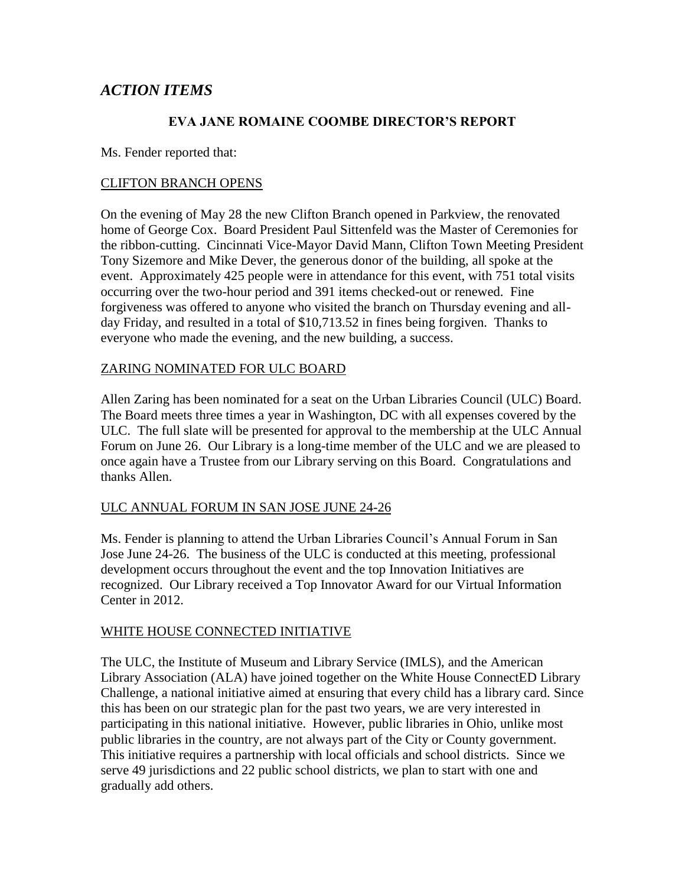# *ACTION ITEMS*

#### **EVA JANE ROMAINE COOMBE DIRECTOR'S REPORT**

Ms. Fender reported that:

#### CLIFTON BRANCH OPENS

On the evening of May 28 the new Clifton Branch opened in Parkview, the renovated home of George Cox. Board President Paul Sittenfeld was the Master of Ceremonies for the ribbon-cutting. Cincinnati Vice-Mayor David Mann, Clifton Town Meeting President Tony Sizemore and Mike Dever, the generous donor of the building, all spoke at the event. Approximately 425 people were in attendance for this event, with 751 total visits occurring over the two-hour period and 391 items checked-out or renewed. Fine forgiveness was offered to anyone who visited the branch on Thursday evening and allday Friday, and resulted in a total of \$10,713.52 in fines being forgiven. Thanks to everyone who made the evening, and the new building, a success.

#### ZARING NOMINATED FOR ULC BOARD

Allen Zaring has been nominated for a seat on the Urban Libraries Council (ULC) Board. The Board meets three times a year in Washington, DC with all expenses covered by the ULC. The full slate will be presented for approval to the membership at the ULC Annual Forum on June 26. Our Library is a long-time member of the ULC and we are pleased to once again have a Trustee from our Library serving on this Board. Congratulations and thanks Allen.

#### ULC ANNUAL FORUM IN SAN JOSE JUNE 24-26

Ms. Fender is planning to attend the Urban Libraries Council's Annual Forum in San Jose June 24-26. The business of the ULC is conducted at this meeting, professional development occurs throughout the event and the top Innovation Initiatives are recognized. Our Library received a Top Innovator Award for our Virtual Information Center in 2012.

#### WHITE HOUSE CONNECTED INITIATIVE

The ULC, the Institute of Museum and Library Service (IMLS), and the American Library Association (ALA) have joined together on the White House ConnectED Library Challenge, a national initiative aimed at ensuring that every child has a library card. Since this has been on our strategic plan for the past two years, we are very interested in participating in this national initiative. However, public libraries in Ohio, unlike most public libraries in the country, are not always part of the City or County government. This initiative requires a partnership with local officials and school districts. Since we serve 49 jurisdictions and 22 public school districts, we plan to start with one and gradually add others.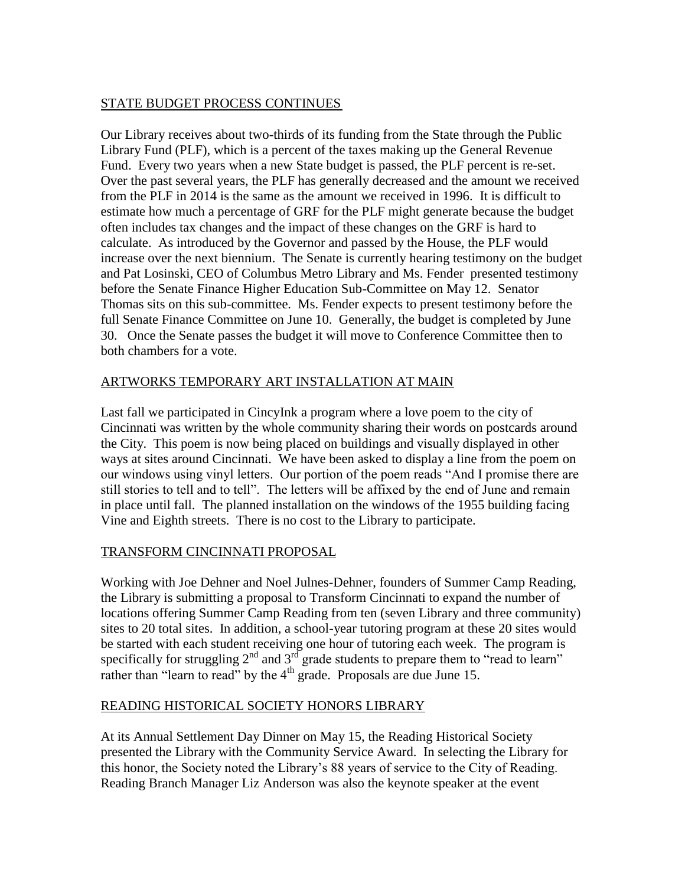## STATE BUDGET PROCESS CONTINUES

Our Library receives about two-thirds of its funding from the State through the Public Library Fund (PLF), which is a percent of the taxes making up the General Revenue Fund. Every two years when a new State budget is passed, the PLF percent is re-set. Over the past several years, the PLF has generally decreased and the amount we received from the PLF in 2014 is the same as the amount we received in 1996. It is difficult to estimate how much a percentage of GRF for the PLF might generate because the budget often includes tax changes and the impact of these changes on the GRF is hard to calculate. As introduced by the Governor and passed by the House, the PLF would increase over the next biennium. The Senate is currently hearing testimony on the budget and Pat Losinski, CEO of Columbus Metro Library and Ms. Fender presented testimony before the Senate Finance Higher Education Sub-Committee on May 12. Senator Thomas sits on this sub-committee. Ms. Fender expects to present testimony before the full Senate Finance Committee on June 10. Generally, the budget is completed by June 30. Once the Senate passes the budget it will move to Conference Committee then to both chambers for a vote.

## ARTWORKS TEMPORARY ART INSTALLATION AT MAIN

Last fall we participated in CincyInk a program where a love poem to the city of Cincinnati was written by the whole community sharing their words on postcards around the City. This poem is now being placed on buildings and visually displayed in other ways at sites around Cincinnati. We have been asked to display a line from the poem on our windows using vinyl letters. Our portion of the poem reads "And I promise there are still stories to tell and to tell". The letters will be affixed by the end of June and remain in place until fall. The planned installation on the windows of the 1955 building facing Vine and Eighth streets. There is no cost to the Library to participate.

## TRANSFORM CINCINNATI PROPOSAL

Working with Joe Dehner and Noel Julnes-Dehner, founders of Summer Camp Reading, the Library is submitting a proposal to Transform Cincinnati to expand the number of locations offering Summer Camp Reading from ten (seven Library and three community) sites to 20 total sites. In addition, a school-year tutoring program at these 20 sites would be started with each student receiving one hour of tutoring each week. The program is specifically for struggling  $2^{nd}$  and  $3^{rd}$  grade students to prepare them to "read to learn" rather than "learn to read" by the  $4<sup>th</sup>$  grade. Proposals are due June 15.

## READING HISTORICAL SOCIETY HONORS LIBRARY

At its Annual Settlement Day Dinner on May 15, the Reading Historical Society presented the Library with the Community Service Award. In selecting the Library for this honor, the Society noted the Library's 88 years of service to the City of Reading. Reading Branch Manager Liz Anderson was also the keynote speaker at the event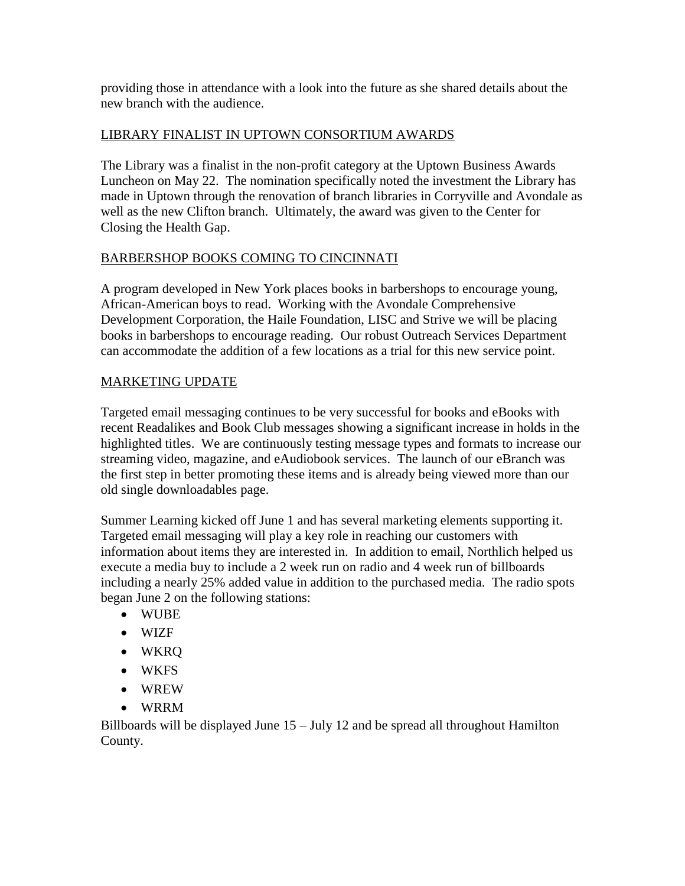providing those in attendance with a look into the future as she shared details about the new branch with the audience.

## LIBRARY FINALIST IN UPTOWN CONSORTIUM AWARDS

The Library was a finalist in the non-profit category at the Uptown Business Awards Luncheon on May 22. The nomination specifically noted the investment the Library has made in Uptown through the renovation of branch libraries in Corryville and Avondale as well as the new Clifton branch. Ultimately, the award was given to the Center for Closing the Health Gap.

## BARBERSHOP BOOKS COMING TO CINCINNATI

A program developed in New York places books in barbershops to encourage young, African-American boys to read. Working with the Avondale Comprehensive Development Corporation, the Haile Foundation, LISC and Strive we will be placing books in barbershops to encourage reading. Our robust Outreach Services Department can accommodate the addition of a few locations as a trial for this new service point.

## MARKETING UPDATE

Targeted email messaging continues to be very successful for books and eBooks with recent Readalikes and Book Club messages showing a significant increase in holds in the highlighted titles. We are continuously testing message types and formats to increase our streaming video, magazine, and eAudiobook services. The launch of our eBranch was the first step in better promoting these items and is already being viewed more than our old single downloadables page.

Summer Learning kicked off June 1 and has several marketing elements supporting it. Targeted email messaging will play a key role in reaching our customers with information about items they are interested in. In addition to email, Northlich helped us execute a media buy to include a 2 week run on radio and 4 week run of billboards including a nearly 25% added value in addition to the purchased media. The radio spots began June 2 on the following stations:

- WUBE
- WIZF
- WKRQ
- WKFS
- WREW
- WRRM

Billboards will be displayed June 15 – July 12 and be spread all throughout Hamilton County.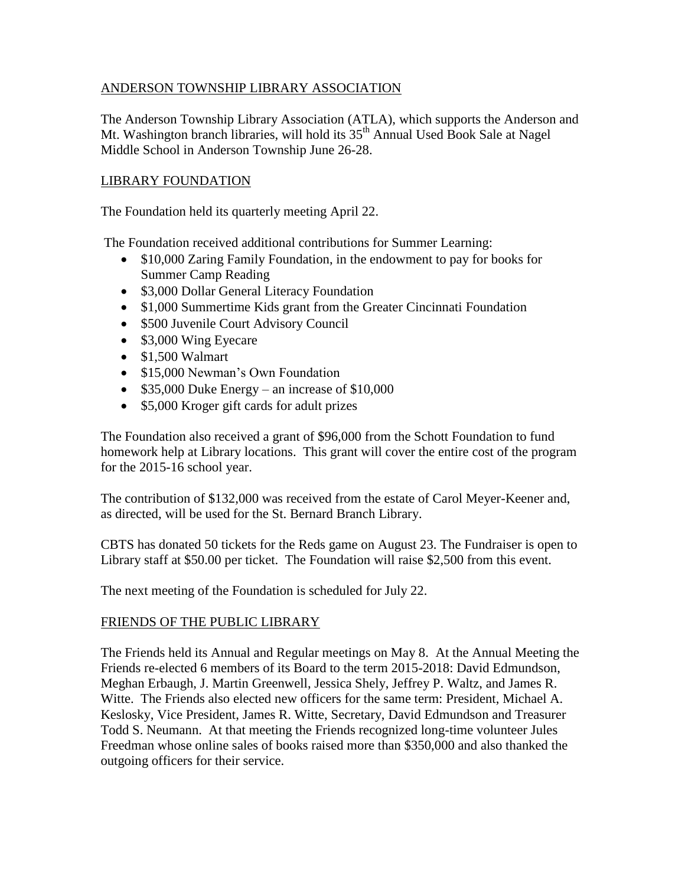## ANDERSON TOWNSHIP LIBRARY ASSOCIATION

The Anderson Township Library Association (ATLA), which supports the Anderson and Mt. Washington branch libraries, will hold its 35<sup>th</sup> Annual Used Book Sale at Nagel Middle School in Anderson Township June 26-28.

## LIBRARY FOUNDATION

The Foundation held its quarterly meeting April 22.

The Foundation received additional contributions for Summer Learning:

- \$10,000 Zaring Family Foundation, in the endowment to pay for books for Summer Camp Reading
- \$3,000 Dollar General Literacy Foundation
- \$1,000 Summertime Kids grant from the Greater Cincinnati Foundation
- \$500 Juvenile Court Advisory Council
- \$3,000 Wing Eyecare
- $\bullet$  \$1,500 Walmart
- \$15,000 Newman's Own Foundation
- $\bullet$  \$35,000 Duke Energy an increase of \$10,000
- \$5,000 Kroger gift cards for adult prizes

The Foundation also received a grant of \$96,000 from the Schott Foundation to fund homework help at Library locations. This grant will cover the entire cost of the program for the 2015-16 school year.

The contribution of \$132,000 was received from the estate of Carol Meyer-Keener and, as directed, will be used for the St. Bernard Branch Library.

CBTS has donated 50 tickets for the Reds game on August 23. The Fundraiser is open to Library staff at \$50.00 per ticket. The Foundation will raise \$2,500 from this event.

The next meeting of the Foundation is scheduled for July 22.

## FRIENDS OF THE PUBLIC LIBRARY

The Friends held its Annual and Regular meetings on May 8. At the Annual Meeting the Friends re-elected 6 members of its Board to the term 2015-2018: David Edmundson, Meghan Erbaugh, J. Martin Greenwell, Jessica Shely, Jeffrey P. Waltz, and James R. Witte. The Friends also elected new officers for the same term: President, Michael A. Keslosky, Vice President, James R. Witte, Secretary, David Edmundson and Treasurer Todd S. Neumann. At that meeting the Friends recognized long-time volunteer Jules Freedman whose online sales of books raised more than \$350,000 and also thanked the outgoing officers for their service.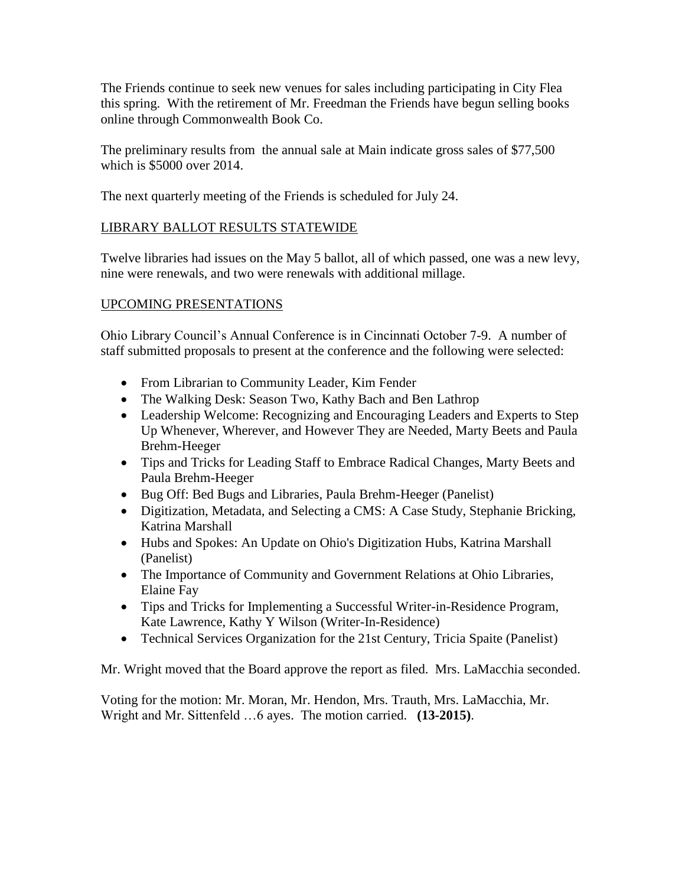The Friends continue to seek new venues for sales including participating in City Flea this spring. With the retirement of Mr. Freedman the Friends have begun selling books online through Commonwealth Book Co.

The preliminary results from the annual sale at Main indicate gross sales of \$77,500 which is \$5000 over 2014.

The next quarterly meeting of the Friends is scheduled for July 24.

## LIBRARY BALLOT RESULTS STATEWIDE

Twelve libraries had issues on the May 5 ballot, all of which passed, one was a new levy, nine were renewals, and two were renewals with additional millage.

## UPCOMING PRESENTATIONS

Ohio Library Council's Annual Conference is in Cincinnati October 7-9. A number of staff submitted proposals to present at the conference and the following were selected:

- From Librarian to Community Leader, Kim Fender
- The Walking Desk: Season Two, Kathy Bach and Ben Lathrop
- Leadership Welcome: Recognizing and Encouraging Leaders and Experts to Step Up Whenever, Wherever, and However They are Needed, Marty Beets and Paula Brehm-Heeger
- Tips and Tricks for Leading Staff to Embrace Radical Changes, Marty Beets and Paula Brehm-Heeger
- Bug Off: Bed Bugs and Libraries, Paula Brehm-Heeger (Panelist)
- Digitization, Metadata, and Selecting a CMS: A Case Study, Stephanie Bricking, Katrina Marshall
- Hubs and Spokes: An Update on Ohio's Digitization Hubs, Katrina Marshall (Panelist)
- The Importance of Community and Government Relations at Ohio Libraries, Elaine Fay
- Tips and Tricks for Implementing a Successful Writer-in-Residence Program, Kate Lawrence, Kathy Y Wilson (Writer-In-Residence)
- Technical Services Organization for the 21st Century, Tricia Spaite (Panelist)

Mr. Wright moved that the Board approve the report as filed. Mrs. LaMacchia seconded.

Voting for the motion: Mr. Moran, Mr. Hendon, Mrs. Trauth, Mrs. LaMacchia, Mr. Wright and Mr. Sittenfeld …6 ayes. The motion carried. **(13-2015)**.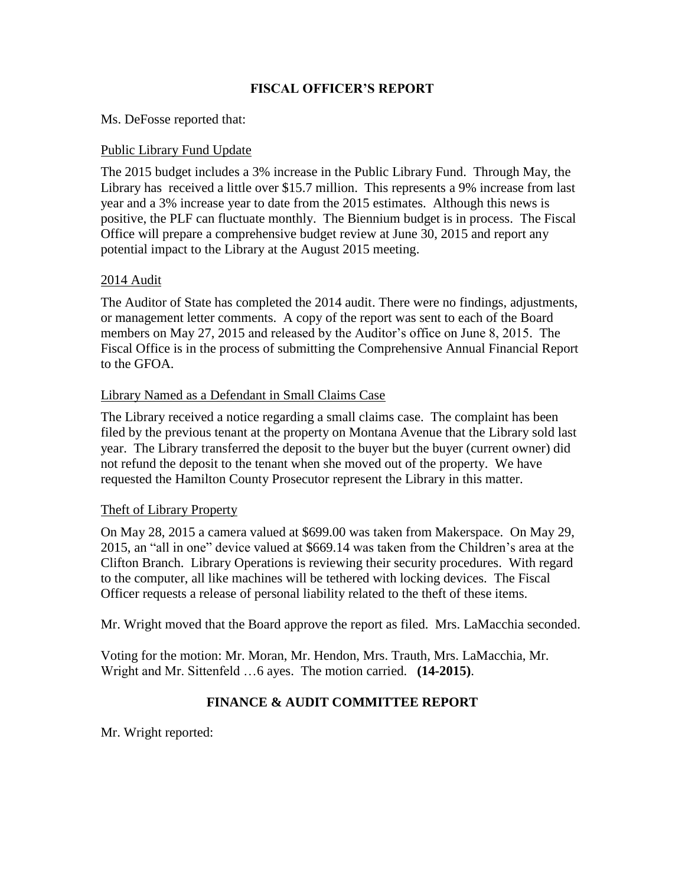#### **FISCAL OFFICER'S REPORT**

#### Ms. DeFosse reported that:

#### Public Library Fund Update

The 2015 budget includes a 3% increase in the Public Library Fund. Through May, the Library has received a little over \$15.7 million. This represents a 9% increase from last year and a 3% increase year to date from the 2015 estimates. Although this news is positive, the PLF can fluctuate monthly. The Biennium budget is in process. The Fiscal Office will prepare a comprehensive budget review at June 30, 2015 and report any potential impact to the Library at the August 2015 meeting.

#### 2014 Audit

The Auditor of State has completed the 2014 audit. There were no findings, adjustments, or management letter comments. A copy of the report was sent to each of the Board members on May 27, 2015 and released by the Auditor's office on June 8, 2015. The Fiscal Office is in the process of submitting the Comprehensive Annual Financial Report to the GFOA.

#### Library Named as a Defendant in Small Claims Case

The Library received a notice regarding a small claims case. The complaint has been filed by the previous tenant at the property on Montana Avenue that the Library sold last year. The Library transferred the deposit to the buyer but the buyer (current owner) did not refund the deposit to the tenant when she moved out of the property. We have requested the Hamilton County Prosecutor represent the Library in this matter.

#### Theft of Library Property

On May 28, 2015 a camera valued at \$699.00 was taken from Makerspace. On May 29, 2015, an "all in one" device valued at \$669.14 was taken from the Children's area at the Clifton Branch. Library Operations is reviewing their security procedures. With regard to the computer, all like machines will be tethered with locking devices. The Fiscal Officer requests a release of personal liability related to the theft of these items.

Mr. Wright moved that the Board approve the report as filed. Mrs. LaMacchia seconded.

Voting for the motion: Mr. Moran, Mr. Hendon, Mrs. Trauth, Mrs. LaMacchia, Mr. Wright and Mr. Sittenfeld …6 ayes. The motion carried. **(14-2015)**.

## **FINANCE & AUDIT COMMITTEE REPORT**

Mr. Wright reported: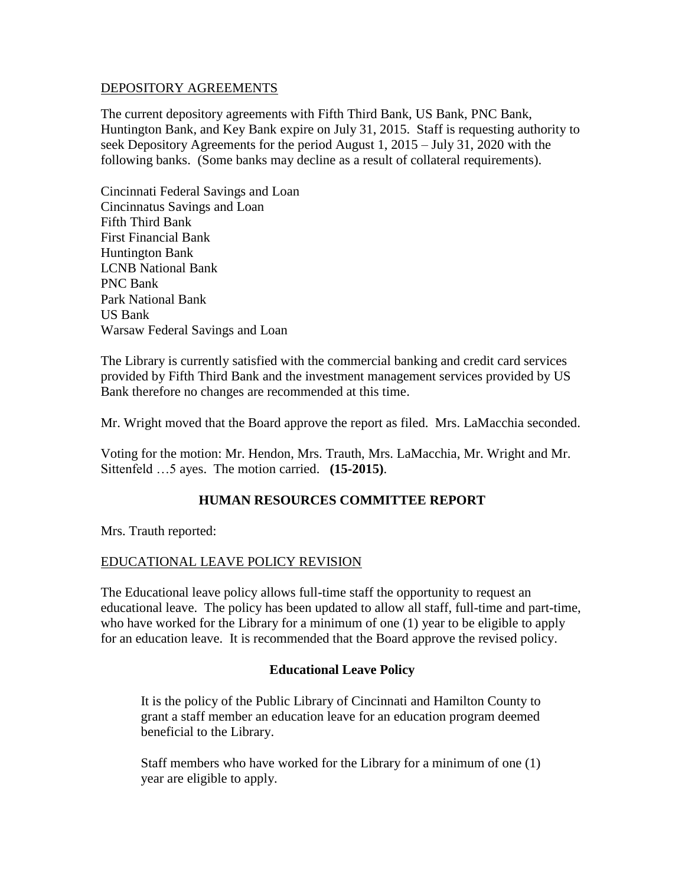#### DEPOSITORY AGREEMENTS

The current depository agreements with Fifth Third Bank, US Bank, PNC Bank, Huntington Bank, and Key Bank expire on July 31, 2015. Staff is requesting authority to seek Depository Agreements for the period August 1, 2015 – July 31, 2020 with the following banks. (Some banks may decline as a result of collateral requirements).

Cincinnati Federal Savings and Loan Cincinnatus Savings and Loan Fifth Third Bank First Financial Bank Huntington Bank LCNB National Bank PNC Bank Park National Bank US Bank Warsaw Federal Savings and Loan

The Library is currently satisfied with the commercial banking and credit card services provided by Fifth Third Bank and the investment management services provided by US Bank therefore no changes are recommended at this time.

Mr. Wright moved that the Board approve the report as filed. Mrs. LaMacchia seconded.

Voting for the motion: Mr. Hendon, Mrs. Trauth, Mrs. LaMacchia, Mr. Wright and Mr. Sittenfeld …5 ayes. The motion carried. **(15-2015)**.

#### **HUMAN RESOURCES COMMITTEE REPORT**

Mrs. Trauth reported:

#### EDUCATIONAL LEAVE POLICY REVISION

The Educational leave policy allows full-time staff the opportunity to request an educational leave. The policy has been updated to allow all staff, full-time and part-time, who have worked for the Library for a minimum of one (1) year to be eligible to apply for an education leave. It is recommended that the Board approve the revised policy.

#### **Educational Leave Policy**

It is the policy of the Public Library of Cincinnati and Hamilton County to grant a staff member an education leave for an education program deemed beneficial to the Library.

Staff members who have worked for the Library for a minimum of one (1) year are eligible to apply.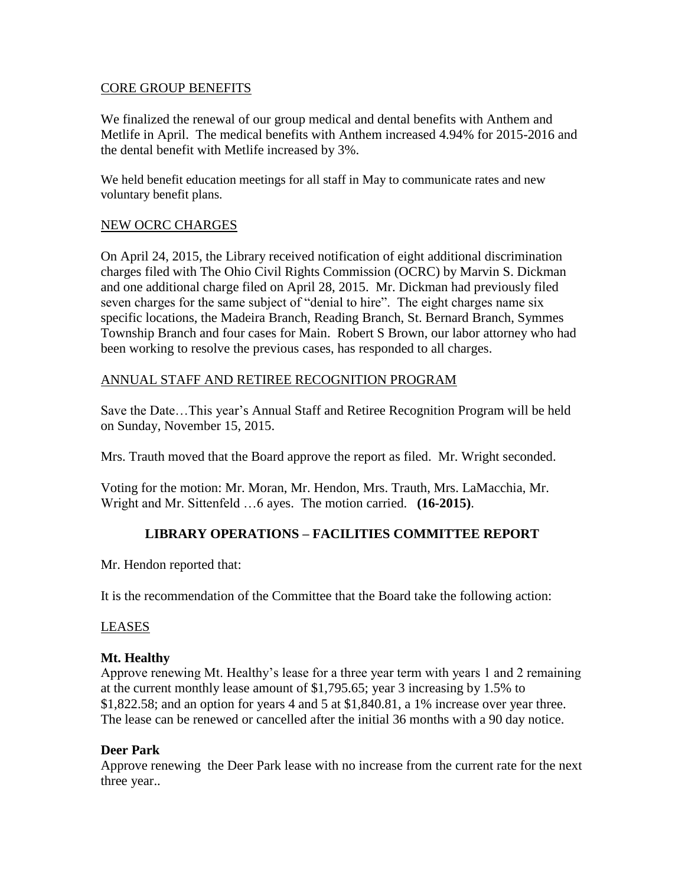#### CORE GROUP BENEFITS

We finalized the renewal of our group medical and dental benefits with Anthem and Metlife in April. The medical benefits with Anthem increased 4.94% for 2015-2016 and the dental benefit with Metlife increased by 3%.

We held benefit education meetings for all staff in May to communicate rates and new voluntary benefit plans.

#### NEW OCRC CHARGES

On April 24, 2015, the Library received notification of eight additional discrimination charges filed with The Ohio Civil Rights Commission (OCRC) by Marvin S. Dickman and one additional charge filed on April 28, 2015. Mr. Dickman had previously filed seven charges for the same subject of "denial to hire". The eight charges name six specific locations, the Madeira Branch, Reading Branch, St. Bernard Branch, Symmes Township Branch and four cases for Main. Robert S Brown, our labor attorney who had been working to resolve the previous cases, has responded to all charges.

#### ANNUAL STAFF AND RETIREE RECOGNITION PROGRAM

Save the Date…This year's Annual Staff and Retiree Recognition Program will be held on Sunday, November 15, 2015.

Mrs. Trauth moved that the Board approve the report as filed. Mr. Wright seconded.

Voting for the motion: Mr. Moran, Mr. Hendon, Mrs. Trauth, Mrs. LaMacchia, Mr. Wright and Mr. Sittenfeld …6 ayes. The motion carried. **(16-2015)**.

## **LIBRARY OPERATIONS – FACILITIES COMMITTEE REPORT**

Mr. Hendon reported that:

It is the recommendation of the Committee that the Board take the following action:

#### LEASES

#### **Mt. Healthy**

Approve renewing Mt. Healthy's lease for a three year term with years 1 and 2 remaining at the current monthly lease amount of \$1,795.65; year 3 increasing by 1.5% to \$1,822.58; and an option for years 4 and 5 at \$1,840.81, a 1% increase over year three. The lease can be renewed or cancelled after the initial 36 months with a 90 day notice.

#### **Deer Park**

Approve renewing the Deer Park lease with no increase from the current rate for the next three year..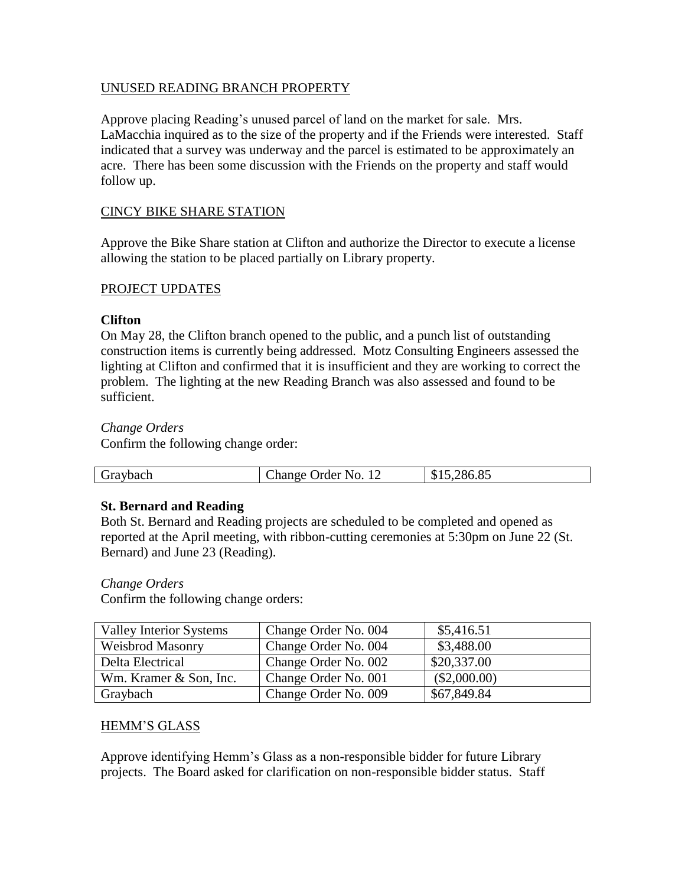#### UNUSED READING BRANCH PROPERTY

Approve placing Reading's unused parcel of land on the market for sale. Mrs. LaMacchia inquired as to the size of the property and if the Friends were interested. Staff indicated that a survey was underway and the parcel is estimated to be approximately an acre. There has been some discussion with the Friends on the property and staff would follow up.

#### CINCY BIKE SHARE STATION

Approve the Bike Share station at Clifton and authorize the Director to execute a license allowing the station to be placed partially on Library property.

#### PROJECT UPDATES

#### **Clifton**

On May 28, the Clifton branch opened to the public, and a punch list of outstanding construction items is currently being addressed. Motz Consulting Engineers assessed the lighting at Clifton and confirmed that it is insufficient and they are working to correct the problem. The lighting at the new Reading Branch was also assessed and found to be sufficient.

#### *Change Orders*

Confirm the following change order:

|  | Graybach | Change Order No. 12 | 286.85<br>י ה<br>്യ.്യം |
|--|----------|---------------------|-------------------------|
|--|----------|---------------------|-------------------------|

#### **St. Bernard and Reading**

Both St. Bernard and Reading projects are scheduled to be completed and opened as reported at the April meeting, with ribbon-cutting ceremonies at 5:30pm on June 22 (St. Bernard) and June 23 (Reading).

#### *Change Orders*

Confirm the following change orders:

| Valley Interior Systems | Change Order No. 004 | \$5,416.51     |
|-------------------------|----------------------|----------------|
| <b>Weisbrod Masonry</b> | Change Order No. 004 | \$3,488.00     |
| Delta Electrical        | Change Order No. 002 | \$20,337.00    |
| Wm. Kramer & Son, Inc.  | Change Order No. 001 | $(\$2,000.00)$ |
| Graybach                | Change Order No. 009 | \$67,849.84    |

#### HEMM'S GLASS

Approve identifying Hemm's Glass as a non-responsible bidder for future Library projects. The Board asked for clarification on non-responsible bidder status. Staff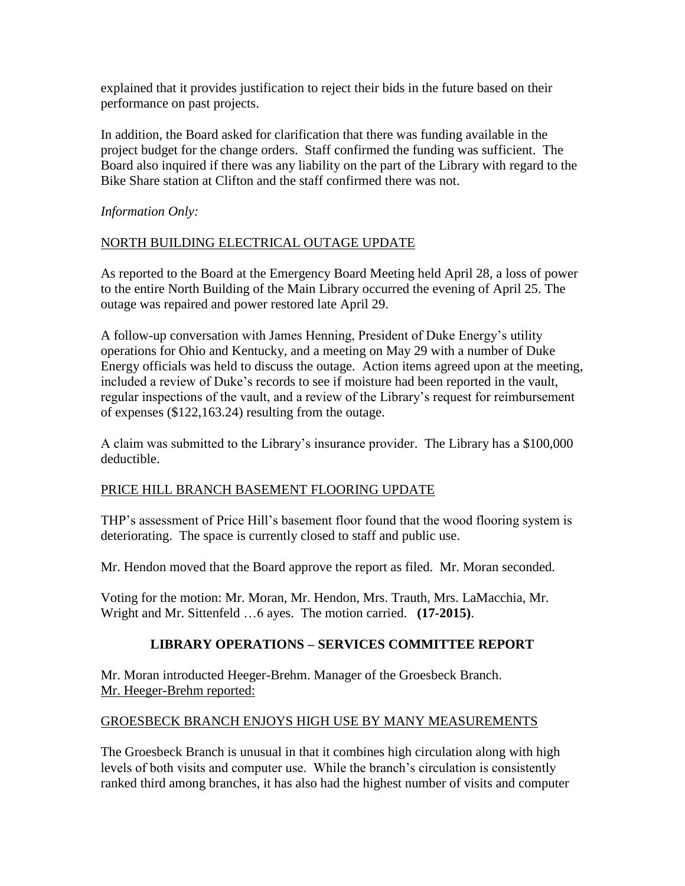explained that it provides justification to reject their bids in the future based on their performance on past projects.

In addition, the Board asked for clarification that there was funding available in the project budget for the change orders. Staff confirmed the funding was sufficient. The Board also inquired if there was any liability on the part of the Library with regard to the Bike Share station at Clifton and the staff confirmed there was not.

*Information Only:*

## NORTH BUILDING ELECTRICAL OUTAGE UPDATE

As reported to the Board at the Emergency Board Meeting held April 28, a loss of power to the entire North Building of the Main Library occurred the evening of April 25. The outage was repaired and power restored late April 29.

A follow-up conversation with James Henning, President of Duke Energy's utility operations for Ohio and Kentucky, and a meeting on May 29 with a number of Duke Energy officials was held to discuss the outage. Action items agreed upon at the meeting, included a review of Duke's records to see if moisture had been reported in the vault, regular inspections of the vault, and a review of the Library's request for reimbursement of expenses (\$122,163.24) resulting from the outage.

A claim was submitted to the Library's insurance provider. The Library has a \$100,000 deductible.

## PRICE HILL BRANCH BASEMENT FLOORING UPDATE

THP's assessment of Price Hill's basement floor found that the wood flooring system is deteriorating. The space is currently closed to staff and public use.

Mr. Hendon moved that the Board approve the report as filed. Mr. Moran seconded.

Voting for the motion: Mr. Moran, Mr. Hendon, Mrs. Trauth, Mrs. LaMacchia, Mr. Wright and Mr. Sittenfeld …6 ayes. The motion carried. **(17-2015)**.

## **LIBRARY OPERATIONS – SERVICES COMMITTEE REPORT**

Mr. Moran introducted Heeger-Brehm. Manager of the Groesbeck Branch. Mr. Heeger-Brehm reported:

## GROESBECK BRANCH ENJOYS HIGH USE BY MANY MEASUREMENTS

The Groesbeck Branch is unusual in that it combines high circulation along with high levels of both visits and computer use. While the branch's circulation is consistently ranked third among branches, it has also had the highest number of visits and computer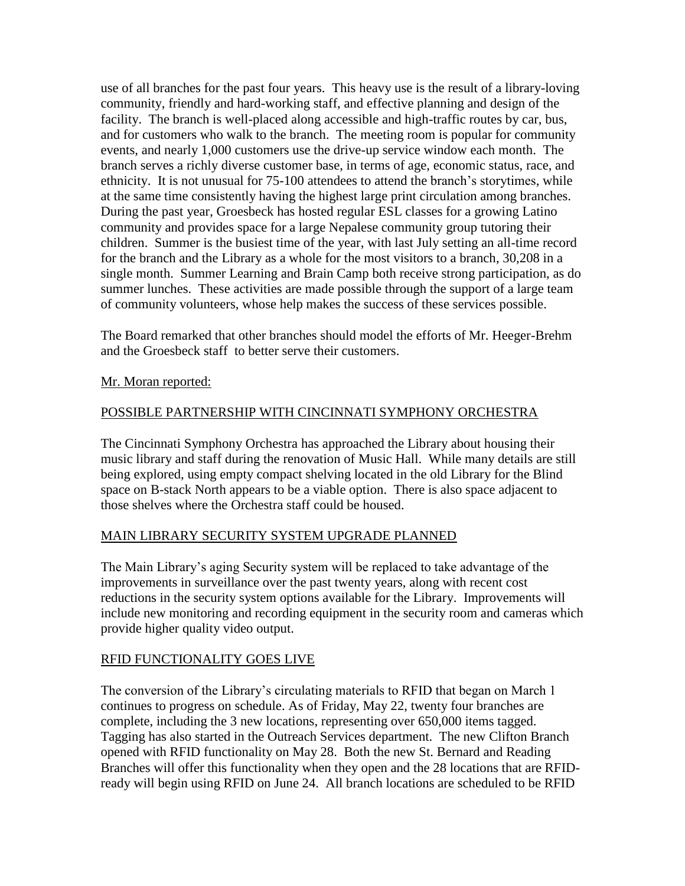use of all branches for the past four years. This heavy use is the result of a library-loving community, friendly and hard-working staff, and effective planning and design of the facility. The branch is well-placed along accessible and high-traffic routes by car, bus, and for customers who walk to the branch. The meeting room is popular for community events, and nearly 1,000 customers use the drive-up service window each month. The branch serves a richly diverse customer base, in terms of age, economic status, race, and ethnicity. It is not unusual for 75-100 attendees to attend the branch's storytimes, while at the same time consistently having the highest large print circulation among branches. During the past year, Groesbeck has hosted regular ESL classes for a growing Latino community and provides space for a large Nepalese community group tutoring their children. Summer is the busiest time of the year, with last July setting an all-time record for the branch and the Library as a whole for the most visitors to a branch, 30,208 in a single month. Summer Learning and Brain Camp both receive strong participation, as do summer lunches. These activities are made possible through the support of a large team of community volunteers, whose help makes the success of these services possible.

The Board remarked that other branches should model the efforts of Mr. Heeger-Brehm and the Groesbeck staff to better serve their customers.

#### Mr. Moran reported:

#### POSSIBLE PARTNERSHIP WITH CINCINNATI SYMPHONY ORCHESTRA

The Cincinnati Symphony Orchestra has approached the Library about housing their music library and staff during the renovation of Music Hall. While many details are still being explored, using empty compact shelving located in the old Library for the Blind space on B-stack North appears to be a viable option. There is also space adjacent to those shelves where the Orchestra staff could be housed.

## MAIN LIBRARY SECURITY SYSTEM UPGRADE PLANNED

The Main Library's aging Security system will be replaced to take advantage of the improvements in surveillance over the past twenty years, along with recent cost reductions in the security system options available for the Library. Improvements will include new monitoring and recording equipment in the security room and cameras which provide higher quality video output.

## RFID FUNCTIONALITY GOES LIVE

The conversion of the Library's circulating materials to RFID that began on March 1 continues to progress on schedule. As of Friday, May 22, twenty four branches are complete, including the 3 new locations, representing over 650,000 items tagged. Tagging has also started in the Outreach Services department. The new Clifton Branch opened with RFID functionality on May 28. Both the new St. Bernard and Reading Branches will offer this functionality when they open and the 28 locations that are RFIDready will begin using RFID on June 24. All branch locations are scheduled to be RFID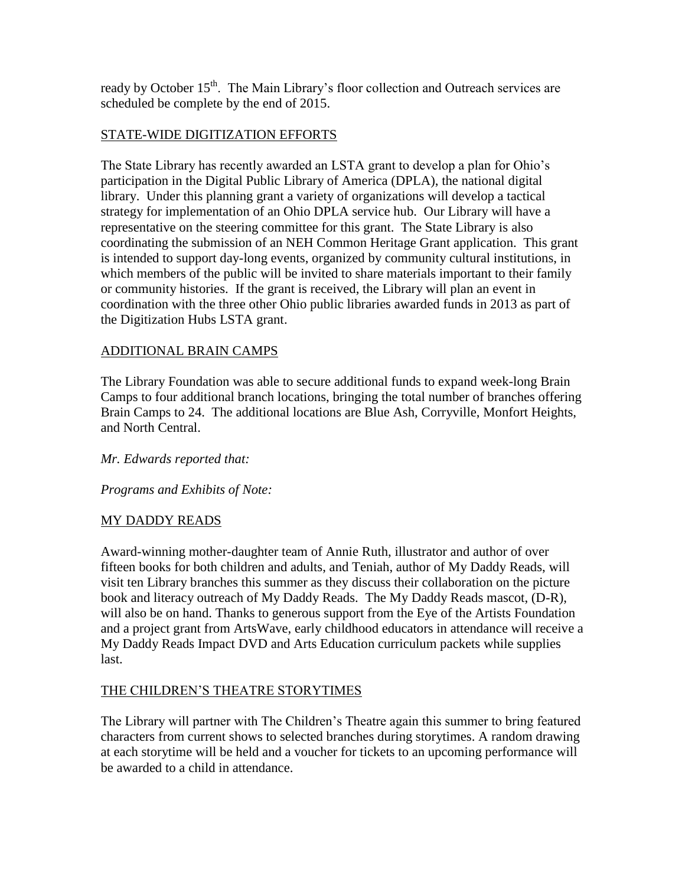ready by October 15<sup>th</sup>. The Main Library's floor collection and Outreach services are scheduled be complete by the end of 2015.

## STATE-WIDE DIGITIZATION EFFORTS

The State Library has recently awarded an LSTA grant to develop a plan for Ohio's participation in the Digital Public Library of America (DPLA), the national digital library. Under this planning grant a variety of organizations will develop a tactical strategy for implementation of an Ohio DPLA service hub. Our Library will have a representative on the steering committee for this grant. The State Library is also coordinating the submission of an NEH Common Heritage Grant application.This grant is intended to support day-long events, organized by community cultural institutions, in which members of the public will be invited to share materials important to their family or community histories. If the grant is received, the Library will plan an event in coordination with the three other Ohio public libraries awarded funds in 2013 as part of the Digitization Hubs LSTA grant.

## ADDITIONAL BRAIN CAMPS

The Library Foundation was able to secure additional funds to expand week-long Brain Camps to four additional branch locations, bringing the total number of branches offering Brain Camps to 24. The additional locations are Blue Ash, Corryville, Monfort Heights, and North Central.

*Mr. Edwards reported that:*

*Programs and Exhibits of Note:*

## MY DADDY READS

Award-winning mother-daughter team of Annie Ruth, illustrator and author of over fifteen books for both children and adults, and Teniah, author of My Daddy Reads, will visit ten Library branches this summer as they discuss their collaboration on the picture book and literacy outreach of My Daddy Reads. The My Daddy Reads mascot, (D-R), will also be on hand. Thanks to generous support from the Eye of the Artists Foundation and a project grant from ArtsWave, early childhood educators in attendance will receive a My Daddy Reads Impact DVD and Arts Education curriculum packets while supplies last.

## THE CHILDREN'S THEATRE STORYTIMES

The Library will partner with The Children's Theatre again this summer to bring featured characters from current shows to selected branches during storytimes. A random drawing at each storytime will be held and a voucher for tickets to an upcoming performance will be awarded to a child in attendance.